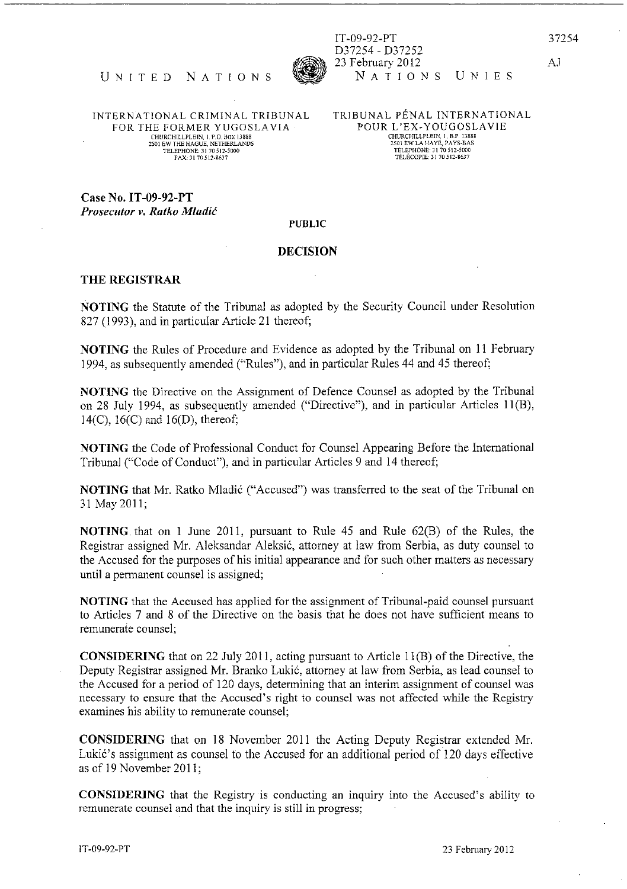IT-09-92-PT D37254 - 037252 23 February 2012 NATIONS UNIES 37254

AJ



INTERNA TIONAL CRIMINAL TRIBUNAL FOR THE FORMER YUGOSLAVIA CHURCHILLPLEIN, I. P.O. BOX 13888<br>2501 EW THE HAGUE, NETHERLANDS<br>TELEPHONE: 31 70 512-5000<br>FAX: 31 70 512-8637

TRIBUNAL PENAL INTERNATIONAL POUR L'EX-YOUGOSLAVIE 2501 EW LA HAY£), PAYS-DAS TELEPHONE: 31 70512-5000 TELECOPIE: 31 70512\_8637

Case No, IT-09-92-PT *Prosecutor v. Ratko Mladic* 

## PUBLIC

## DECISION

## THE REGISTRAR

NOTING the Statute of the Tribunal as adopted by the Security Council under Resolution 827 (1993), and in particular Article 21 thereof;

NOTING the Rules of Procedure and Evidence as adopted by the Tribunal on II February 1994, as subsequently amended ("Rules"), and in particular Rules 44 and 45 thereof;

NOTING the Directive on the Assigmnent of Defence Counsel as adopted by the Tribunal on 28 July 1994, as subsequently amended ("Directive"), and in particular Articles II (B), 14(C), 16(C) and 16(D), thereof;

NOTING the Code of Professional Conduct for Counsel Appearing Before the International Tribunal ("Code of Conduct"), and in particular Articles 9 and 14 thereof;

NOTING that Mr, Ratko Mladic ("Accused") was transferred to the seat of the Tribunal on 31 May2011;

NOTING. that on I June 2011, pursuant to Rule 45 and Rule 62(B) of the Rules, the Registrar assigned Mr. Aleksandar Aleksic, attorney at law from Serbia, as duty counsel to the Accused for the purposes of his initial appearance and for such other matters as necessary until a permanent counsel is assigned;

NOTING that the Accused has applied for the assignment of Tribunal-paid counsel pursuant to Articles 7 and 8 of the Directive on the basis that he does not have sufficient means to remunerate counsel;

**CONSIDERING** that on 22 July 2011, acting pursuant to Article 11 $(B)$  of the Directive, the Deputy Registrar assigned Mr. Branko Lukic, attorney at law from Serbia, as lead counsel to the Accused for a period of 120 days, determining that an interim assignment of counsel was necessary to ensure that the Accused's right to counsel was not affected while the Registry examines his ability to remunerate counsel;

CONSIDERING that on 18 November 2011 the Acting Deputy Registrar extended Mr. Lukic's assignment as counsel to the Accused for an additional period of 120 days effective as of 19 November 2011;

CONSIDERING that the Registry is conducting an inquiry into the Accused's ability to remunerate counsel and that the inquiry is still in progress;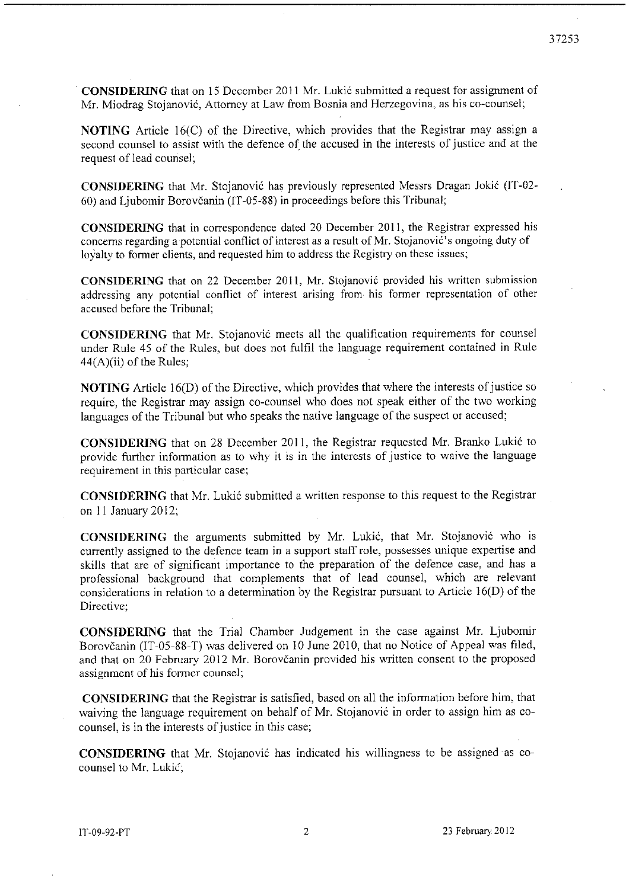. **CONSIDERING** that on 15 December 2011 Mr. Lukic submitted a request for assignment of Mr. Miodrag Stojanovic, Attorney at Law from Bosnia and Herzegovina, as his co-counsel;

**NOTING** Article 16(C) of the Directive, which provides that the Registrar may assign a second counsel to assist with the defence of the accused in the interests of justice and at the request of lead counsel;

**CONSIDERING** that Mr. Stojanović has previously represented Messrs Dragan Jokić (IT-02-60) and Ljubomir Borovcanin (IT -05-88) in proceedings before this Tribunal;

**CONSIDERING** that in correspondence dated 20 December 2011, the Registrar expressed his concerns regarding a potential conflict of interest as a result of Mr. Stojanović's ongoing duty of loyalty to former clients, and requested him to address the Registry on these issues;

**CONSIDERING** that on 22 December 2011, Mr. Stojanovic provided his written submission addressing any potential conflict of interest arising from· his former representation of other accused before the Tribunal;

**CONSIDERING** that Mr. Stojanović meets all the qualification requirements for counsel under Rule 45 of the Rules, but does not fulfil the language requirement contained in Rule  $44(A)(ii)$  of the Rules;

**NOTING** Article 16(D) of the Directive, which provides that where the interests of justice so require, the Registrar may assign co-counsel who does not speak either of the two working languages of the Tribunal but who speaks the native language of the suspect or accused;

**CONSIDERING** that on 28 December 2011, the Registrar requested Mr. Branko Lukic to providc further information as to why it is in the interests of justice to waive the language requirement in this particular case;

**CONSIDERING** that Mr. Lukic submitted a written response to this request to the Registrar on 11 January 2012;

**CONSIDERING** the arguments submitted by Mr. Lukić, that Mr. Stojanović who is currently assigned to the defence team in a support staff role, possesses unique expertise and skills that are of significant importance to the preparation of the defence case, and has a professional background that complements that of lead counscl, which are relevant considerations in relation to a determination by the Registrar pursuant to Article 16(D) of the **Directive;** 

**CONSIDERING** that the Trial Chamber Judgement in the case against Mr. Ljubomir Borovčanin (IT-05-88-T) was delivered on 10 June 2010, that no Notice of Appeal was filed, and that on 20 February 2012 Mr. Borovčanin provided his written consent to the proposed assignment of his former counsel;

**CONSIDERING** that the Registrar is satisfied, based on all the information before him, that waiving the language requirement on behalf of Mr. Stojanović in order to assign him as cocounsel, is in the interests of justice in this case;

**CONSIDERING** that Mr. Stojanovic has indicated his willingness to be assigned as cocounsel to Mr. Lukić;